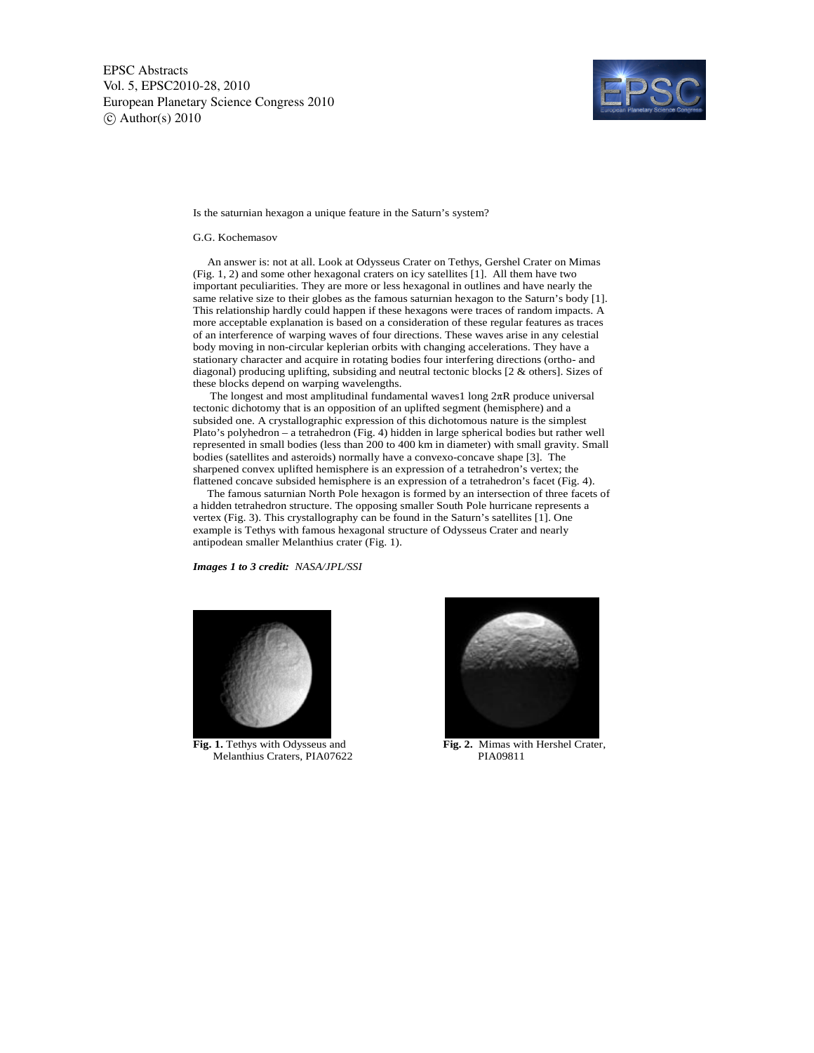

Is the saturnian hexagon a unique feature in the Saturn's system?

## G.G. Kochemasov

 An answer is: not at all. Look at Odysseus Crater on Tethys, Gershel Crater on Mimas (Fig. 1, 2) and some other hexagonal craters on icy satellites [1]. All them have two important peculiarities. They are more or less hexagonal in outlines and have nearly the same relative size to their globes as the famous saturnian hexagon to the Saturn's body [1]. This relationship hardly could happen if these hexagons were traces of random impacts. A more acceptable explanation is based on a consideration of these regular features as traces of an interference of warping waves of four directions. These waves arise in any celestial body moving in non-circular keplerian orbits with changing accelerations. They have a stationary character and acquire in rotating bodies four interfering directions (ortho- and diagonal) producing uplifting, subsiding and neutral tectonic blocks [2 & others]. Sizes of these blocks depend on warping wavelengths.

 The longest and most amplitudinal fundamental waves1 long 2πR produce universal tectonic dichotomy that is an opposition of an uplifted segment (hemisphere) and a subsided one. A crystallographic expression of this dichotomous nature is the simplest Plato's polyhedron – a tetrahedron (Fig. 4) hidden in large spherical bodies but rather well represented in small bodies (less than 200 to 400 km in diameter) with small gravity. Small bodies (satellites and asteroids) normally have a convexo-concave shape [3]. The sharpened convex uplifted hemisphere is an expression of a tetrahedron's vertex; the flattened concave subsided hemisphere is an expression of a tetrahedron's facet (Fig. 4).

 The famous saturnian North Pole hexagon is formed by an intersection of three facets of a hidden tetrahedron structure. The opposing smaller South Pole hurricane represents a vertex (Fig. 3). This crystallography can be found in the Saturn's satellites [1]. One example is Tethys with famous hexagonal structure of Odysseus Crater and nearly antipodean smaller Melanthius crater (Fig. 1).

*Images 1 to 3 credit: NASA/JPL/SSI* 



Fig. 1. Tethys with Odysseus and Melanthius Craters, PIA07622 PIA09811



Fig. 2. Mimas with Hershel Crater,